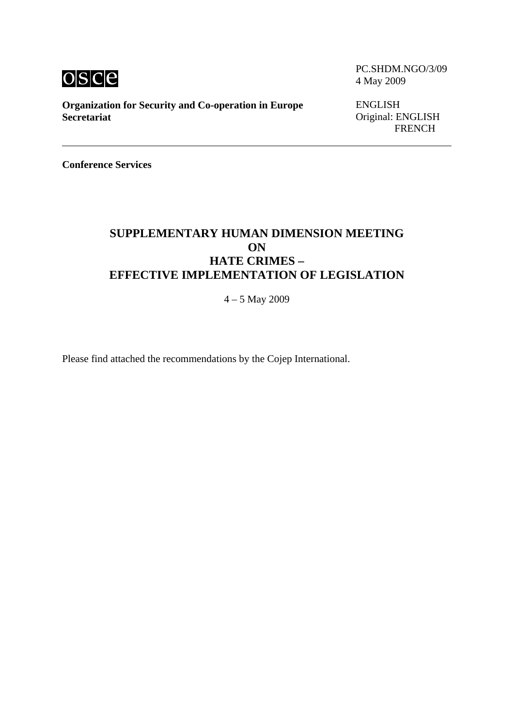

**Organization for Security and Co-operation in Europe Secretariat** 

PC.SHDM.NGO/3/09 4 May 2009

ENGLISH Original: ENGLISH FRENCH

**Conference Services** 

## **SUPPLEMENTARY HUMAN DIMENSION MEETING ON HATE CRIMES – EFFECTIVE IMPLEMENTATION OF LEGISLATION**

4 – 5 May 2009

Please find attached the recommendations by the Cojep International.